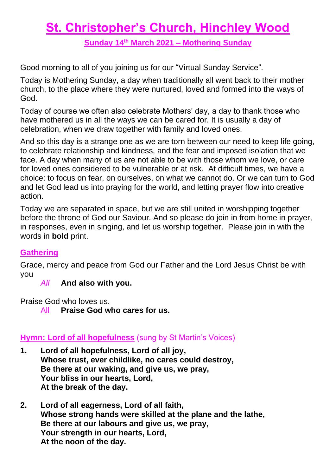# **St. Christopher's Church, Hinchley Wood**

**Sunday 14th March 2021 – Mothering Sunday**

Good morning to all of you joining us for our "Virtual Sunday Service".

Today is Mothering Sunday, a day when traditionally all went back to their mother church, to the place where they were nurtured, loved and formed into the ways of God.

Today of course we often also celebrate Mothers' day, a day to thank those who have mothered us in all the ways we can be cared for. It is usually a day of celebration, when we draw together with family and loved ones.

And so this day is a strange one as we are torn between our need to keep life going, to celebrate relationship and kindness, and the fear and imposed isolation that we face. A day when many of us are not able to be with those whom we love, or care for loved ones considered to be vulnerable or at risk. At difficult times, we have a choice: to focus on fear, on ourselves, on what we cannot do. Or we can turn to God and let God lead us into praying for the world, and letting prayer flow into creative action.

Today we are separated in space, but we are still united in worshipping together before the throne of God our Saviour. And so please do join in from home in prayer, in responses, even in singing, and let us worship together. Please join in with the words in **bold** print.

# **Gathering**

Grace, mercy and peace from God our Father and the Lord Jesus Christ be with you

*All* **And also with you.**

Praise God who loves us.

All **Praise God who cares for us.**

# **Hymn: Lord of all hopefulness** (sung by St Martin's Voices)

- **1. Lord of all hopefulness, Lord of all joy, Whose trust, ever childlike, no cares could destroy, Be there at our waking, and give us, we pray, Your bliss in our hearts, Lord, At the break of the day.**
- **2. Lord of all eagerness, Lord of all faith, Whose strong hands were skilled at the plane and the lathe, Be there at our labours and give us, we pray, Your strength in our hearts, Lord, At the noon of the day.**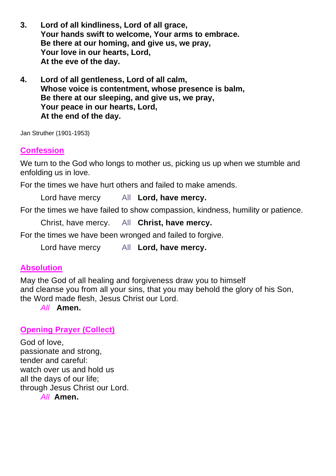- **3. Lord of all kindliness, Lord of all grace, Your hands swift to welcome, Your arms to embrace. Be there at our homing, and give us, we pray, Your love in our hearts, Lord, At the eve of the day.**
- **4. Lord of all gentleness, Lord of all calm, Whose voice is contentment, whose presence is balm, Be there at our sleeping, and give us, we pray, Your peace in our hearts, Lord, At the end of the day.**

Jan Struther (1901-1953)

# **Confession**

We turn to the God who longs to mother us, picking us up when we stumble and enfolding us in love.

For the times we have hurt others and failed to make amends.

Lord have mercy All **Lord, have mercy.**

For the times we have failed to show compassion, kindness, humility or patience.

Christ, have mercy. All **Christ, have mercy.**

For the times we have been wronged and failed to forgive.

Lord have mercy All **Lord, have mercy.**

## **Absolution**

May the God of all healing and forgiveness draw you to himself and cleanse you from all your sins, that you may behold the glory of his Son, the Word made flesh, Jesus Christ our Lord.

*All* **Amen.**

## **Opening Prayer (Collect)**

God of love, passionate and strong, tender and careful: watch over us and hold us all the days of our life; through Jesus Christ our Lord. *All* **Amen.**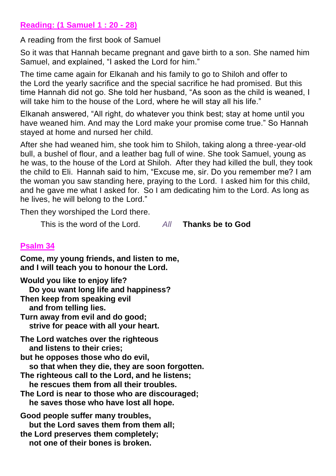# **Reading: (1 Samuel 1 : 20 - 28)**

A reading from the first book of Samuel

So it was that Hannah became pregnant and gave birth to a son. She named him Samuel, and explained, "I asked the Lord for him."

The time came again for Elkanah and his family to go to Shiloh and offer to the Lord the yearly sacrifice and the special sacrifice he had promised. But this time Hannah did not go. She told her husband, "As soon as the child is weaned, I will take him to the house of the Lord, where he will stay all his life."

Elkanah answered, "All right, do whatever you think best; stay at home until you have weaned him. And may the Lord make your promise come true." So Hannah stayed at home and nursed her child.

After she had weaned him, she took him to Shiloh, taking along a three-year-old bull, a bushel of flour, and a leather bag full of wine. She took Samuel, young as he was, to the house of the Lord at Shiloh. After they had killed the bull, they took the child to Eli. Hannah said to him, "Excuse me, sir. Do you remember me? I am the woman you saw standing here, praying to the Lord. I asked him for this child, and he gave me what I asked for. So I am dedicating him to the Lord. As long as he lives, he will belong to the Lord."

Then they worshiped the Lord there.

This is the word of the Lord. *All* **Thanks be to God**

# **Psalm 34**

**Come, my young friends, and listen to me, and I will teach you to honour the Lord.**

**Would you like to enjoy life? Do you want long life and happiness? Then keep from speaking evil and from telling lies. Turn away from evil and do good; strive for peace with all your heart. The Lord watches over the righteous and listens to their cries; but he opposes those who do evil, so that when they die, they are soon forgotten. The righteous call to the Lord, and he listens; he rescues them from all their troubles. The Lord is near to those who are discouraged; he saves those who have lost all hope. Good people suffer many troubles, but the Lord saves them from them all; the Lord preserves them completely;**

 **not one of their bones is broken.**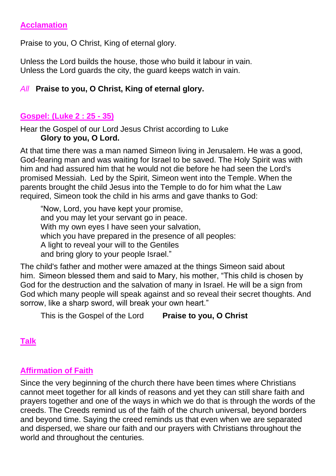# **Acclamation**

Praise to you, O Christ, King of eternal glory.

Unless the Lord builds the house, those who build it labour in vain. Unless the Lord guards the city, the guard keeps watch in vain.

# *All* **Praise to you, O Christ, King of eternal glory.**

# **Gospel: (Luke 2 : 25 - 35)**

Hear the Gospel of our Lord Jesus Christ according to Luke **Glory to you, O Lord.**

At that time there was a man named Simeon living in Jerusalem. He was a good, God-fearing man and was waiting for Israel to be saved. The Holy Spirit was with him and had assured him that he would not die before he had seen the Lord's promised Messiah. Led by the Spirit, Simeon went into the Temple. When the parents brought the child Jesus into the Temple to do for him what the Law required, Simeon took the child in his arms and gave thanks to God:

"Now, Lord, you have kept your promise, and you may let your servant go in peace. With my own eyes I have seen your salvation, which you have prepared in the presence of all peoples: A light to reveal your will to the Gentiles and bring glory to your people Israel."

The child's father and mother were amazed at the things Simeon said about him. Simeon blessed them and said to Mary, his mother, "This child is chosen by God for the destruction and the salvation of many in Israel. He will be a sign from God which many people will speak against and so reveal their secret thoughts. And sorrow, like a sharp sword, will break your own heart."

This is the Gospel of the Lord **Praise to you, O Christ**

**Talk**

# **Affirmation of Faith**

Since the very beginning of the church there have been times where Christians cannot meet together for all kinds of reasons and yet they can still share faith and prayers together and one of the ways in which we do that is through the words of the creeds. The Creeds remind us of the faith of the church universal, beyond borders and beyond time. Saying the creed reminds us that even when we are separated and dispersed, we share our faith and our prayers with Christians throughout the world and throughout the centuries.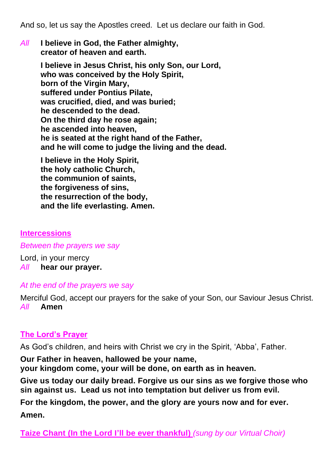And so, let us say the Apostles creed. Let us declare our faith in God.

*All* **I believe in God, the Father almighty, creator of heaven and earth.** 

> **I believe in Jesus Christ, his only Son, our Lord, who was conceived by the Holy Spirit, born of the Virgin Mary, suffered under Pontius Pilate, was crucified, died, and was buried; he descended to the dead. On the third day he rose again; he ascended into heaven, he is seated at the right hand of the Father, and he will come to judge the living and the dead.**

**I believe in the Holy Spirit, the holy catholic Church, the communion of saints, the forgiveness of sins, the resurrection of the body, and the life everlasting. Amen.**

#### **Intercessions**

*Between the prayers we say* 

Lord, in your mercy *All* **hear our prayer.**

#### *At the end of the prayers we say*

Merciful God, accept our prayers for the sake of your Son, our Saviour Jesus Christ. *All* **Amen**

## **The Lord's Prayer**

As God's children, and heirs with Christ we cry in the Spirit, 'Abba', Father.

**Our Father in heaven, hallowed be your name,**

**your kingdom come, your will be done, on earth as in heaven.**

**Give us today our daily bread. Forgive us our sins as we forgive those who sin against us. Lead us not into temptation but deliver us from evil.**

**For the kingdom, the power, and the glory are yours now and for ever.**

**Amen.**

**Taize Chant (In the Lord I'll be ever thankful)** *(sung by our Virtual Choir)*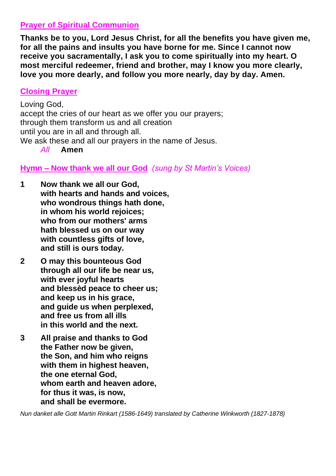# **Prayer of Spiritual Communion**

**Thanks be to you, Lord Jesus Christ, for all the benefits you have given me, for all the pains and insults you have borne for me. Since I cannot now receive you sacramentally, I ask you to come spiritually into my heart. O most merciful redeemer, friend and brother, may I know you more clearly, love you more dearly, and follow you more nearly, day by day. Amen.**

# **Closing Prayer**

Loving God, accept the cries of our heart as we offer you our prayers; through them transform us and all creation until you are in all and through all. We ask these and all our prayers in the name of Jesus.

*All* **Amen**

**Hymn – Now thank we all our God** *(sung by St Martin's Voices)*

- **1 Now thank we all our God, with hearts and hands and voices, who wondrous things hath done, in whom his world rejoices; who from our mothers' arms hath blessed us on our way with countless gifts of love, and still is ours today.**
- **2 O may this bounteous God through all our life be near us, with ever joyful hearts and blessèd peace to cheer us; and keep us in his grace, and guide us when perplexed, and free us from all ills in this world and the next.**
- **3 All praise and thanks to God the Father now be given, the Son, and him who reigns with them in highest heaven, the one eternal God, whom earth and heaven adore, for thus it was, is now, and shall be evermore.**

*Nun danket alle Gott Martin Rinkart (1586-1649) translated by Catherine Winkworth (1827-1878)*